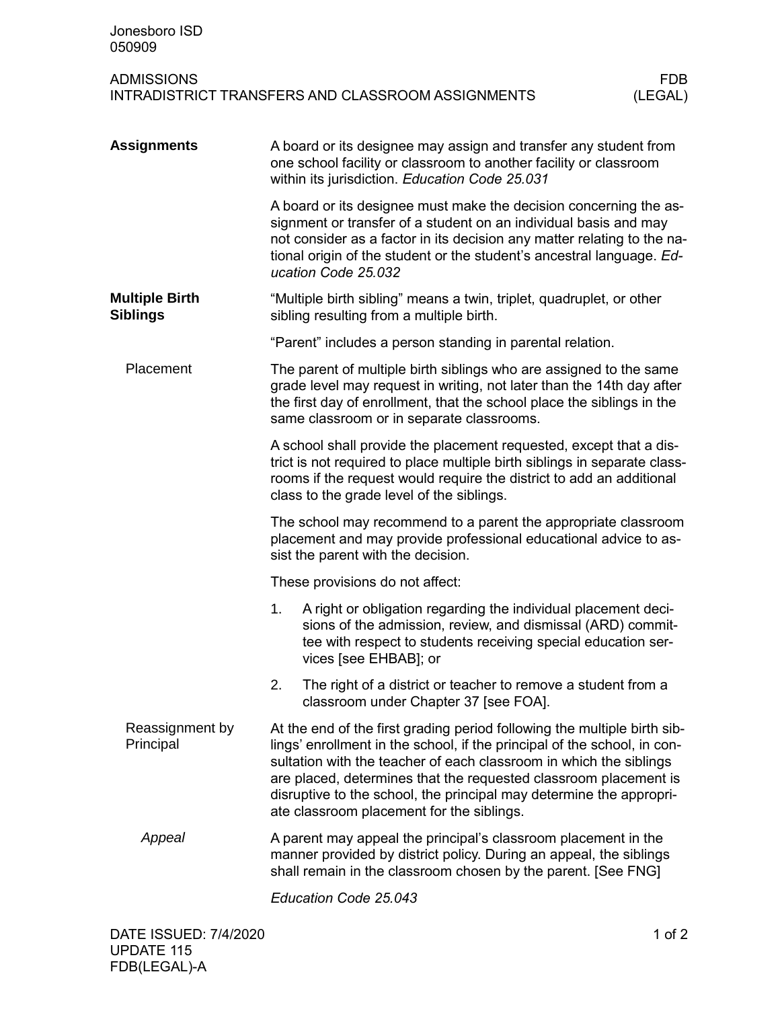| Jonesboro ISD<br>050909                                                                         |                                                                                                                                                                                                                                                                                                                                                                                                                    |                                                                                                                                                                                                                                                                                                                  |  |  |  |
|-------------------------------------------------------------------------------------------------|--------------------------------------------------------------------------------------------------------------------------------------------------------------------------------------------------------------------------------------------------------------------------------------------------------------------------------------------------------------------------------------------------------------------|------------------------------------------------------------------------------------------------------------------------------------------------------------------------------------------------------------------------------------------------------------------------------------------------------------------|--|--|--|
| <b>ADMISSIONS</b><br><b>FDB</b><br>INTRADISTRICT TRANSFERS AND CLASSROOM ASSIGNMENTS<br>(LEGAL) |                                                                                                                                                                                                                                                                                                                                                                                                                    |                                                                                                                                                                                                                                                                                                                  |  |  |  |
| <b>Assignments</b>                                                                              | A board or its designee may assign and transfer any student from<br>one school facility or classroom to another facility or classroom<br>within its jurisdiction. Education Code 25.031                                                                                                                                                                                                                            |                                                                                                                                                                                                                                                                                                                  |  |  |  |
|                                                                                                 |                                                                                                                                                                                                                                                                                                                                                                                                                    | A board or its designee must make the decision concerning the as-<br>signment or transfer of a student on an individual basis and may<br>not consider as a factor in its decision any matter relating to the na-<br>tional origin of the student or the student's ancestral language. Ed-<br>ucation Code 25.032 |  |  |  |
| <b>Multiple Birth</b><br><b>Siblings</b>                                                        |                                                                                                                                                                                                                                                                                                                                                                                                                    | "Multiple birth sibling" means a twin, triplet, quadruplet, or other<br>sibling resulting from a multiple birth.                                                                                                                                                                                                 |  |  |  |
|                                                                                                 |                                                                                                                                                                                                                                                                                                                                                                                                                    | "Parent" includes a person standing in parental relation.                                                                                                                                                                                                                                                        |  |  |  |
| Placement                                                                                       | The parent of multiple birth siblings who are assigned to the same<br>grade level may request in writing, not later than the 14th day after<br>the first day of enrollment, that the school place the siblings in the<br>same classroom or in separate classrooms.                                                                                                                                                 |                                                                                                                                                                                                                                                                                                                  |  |  |  |
|                                                                                                 | A school shall provide the placement requested, except that a dis-<br>trict is not required to place multiple birth siblings in separate class-<br>rooms if the request would require the district to add an additional<br>class to the grade level of the siblings.                                                                                                                                               |                                                                                                                                                                                                                                                                                                                  |  |  |  |
|                                                                                                 | The school may recommend to a parent the appropriate classroom<br>placement and may provide professional educational advice to as-<br>sist the parent with the decision.                                                                                                                                                                                                                                           |                                                                                                                                                                                                                                                                                                                  |  |  |  |
|                                                                                                 | These provisions do not affect:                                                                                                                                                                                                                                                                                                                                                                                    |                                                                                                                                                                                                                                                                                                                  |  |  |  |
|                                                                                                 | 1.                                                                                                                                                                                                                                                                                                                                                                                                                 | A right or obligation regarding the individual placement deci-<br>sions of the admission, review, and dismissal (ARD) commit-<br>tee with respect to students receiving special education ser-<br>vices [see EHBAB]; or                                                                                          |  |  |  |
|                                                                                                 | 2.                                                                                                                                                                                                                                                                                                                                                                                                                 | The right of a district or teacher to remove a student from a<br>classroom under Chapter 37 [see FOA].                                                                                                                                                                                                           |  |  |  |
| Reassignment by<br>Principal                                                                    | At the end of the first grading period following the multiple birth sib-<br>lings' enrollment in the school, if the principal of the school, in con-<br>sultation with the teacher of each classroom in which the siblings<br>are placed, determines that the requested classroom placement is<br>disruptive to the school, the principal may determine the appropri-<br>ate classroom placement for the siblings. |                                                                                                                                                                                                                                                                                                                  |  |  |  |
| Appeal                                                                                          | A parent may appeal the principal's classroom placement in the<br>manner provided by district policy. During an appeal, the siblings<br>shall remain in the classroom chosen by the parent. [See FNG]                                                                                                                                                                                                              |                                                                                                                                                                                                                                                                                                                  |  |  |  |
|                                                                                                 |                                                                                                                                                                                                                                                                                                                                                                                                                    | Education Code 25.043                                                                                                                                                                                                                                                                                            |  |  |  |